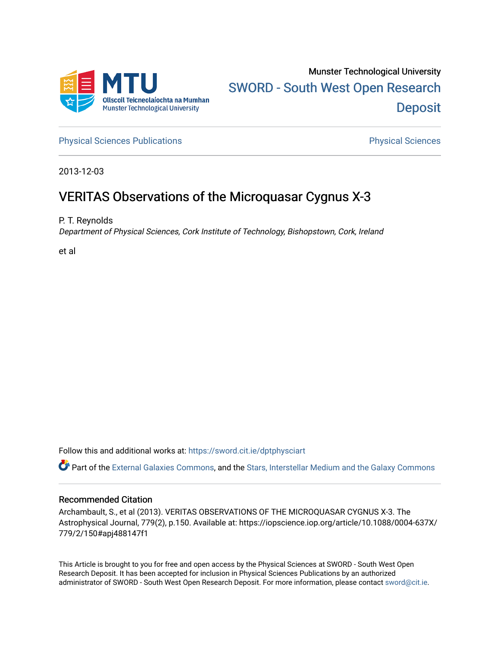

[Physical Sciences Publications](https://sword.cit.ie/dptphysciart) **Physical Sciences** Physical Sciences

2013-12-03

# VERITAS Observations of the Microquasar Cygnus X-3

P. T. Reynolds

Department of Physical Sciences, Cork Institute of Technology, Bishopstown, Cork, Ireland

et al

Follow this and additional works at: [https://sword.cit.ie/dptphysciart](https://sword.cit.ie/dptphysciart?utm_source=sword.cit.ie%2Fdptphysciart%2F89&utm_medium=PDF&utm_campaign=PDFCoverPages)

Part of the [External Galaxies Commons](http://network.bepress.com/hgg/discipline/128?utm_source=sword.cit.ie%2Fdptphysciart%2F89&utm_medium=PDF&utm_campaign=PDFCoverPages), and the [Stars, Interstellar Medium and the Galaxy Commons](http://network.bepress.com/hgg/discipline/127?utm_source=sword.cit.ie%2Fdptphysciart%2F89&utm_medium=PDF&utm_campaign=PDFCoverPages) 

## Recommended Citation

Archambault, S., et al (2013). VERITAS OBSERVATIONS OF THE MICROQUASAR CYGNUS X-3. The Astrophysical Journal, 779(2), p.150. Available at: https://iopscience.iop.org/article/10.1088/0004-637X/ 779/2/150#apj488147f1

This Article is brought to you for free and open access by the Physical Sciences at SWORD - South West Open Research Deposit. It has been accepted for inclusion in Physical Sciences Publications by an authorized administrator of SWORD - South West Open Research Deposit. For more information, please contact [sword@cit.ie.](mailto:sword@cit.ie)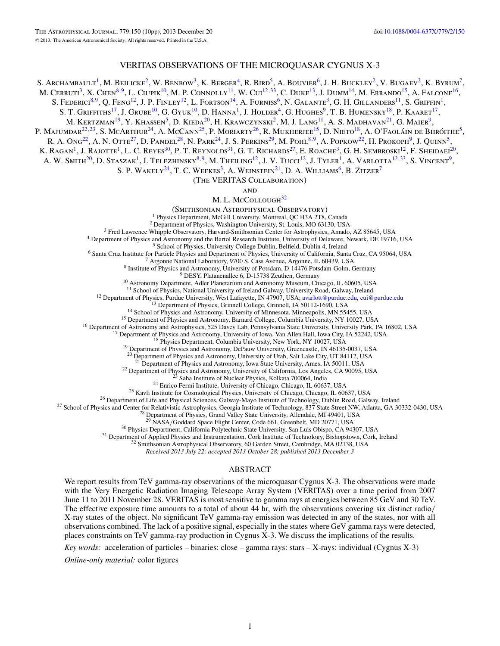## VERITAS OBSERVATIONS OF THE MICROQUASAR CYGNUS X-3

S. ARCHAMBAULT<sup>1</sup>, M. BEILICKE<sup>2</sup>, W. BENBOW<sup>3</sup>, K. BERGER<sup>4</sup>, R. BIRD<sup>5</sup>, A. BOUVIER<sup>6</sup>, J. H. BUCKLEY<sup>2</sup>, V. BUGAEV<sup>2</sup>, K. BYRUM<sup>7</sup>,

M. CERRUTI<sup>3</sup>, X. CHEN<sup>8,9</sup>, L. CIUPIK<sup>10</sup>, M. P. CONNOLLY<sup>11</sup>, W. CUI<sup>12,[33](#page-2-0)</sup>, C. DUKE<sup>13</sup>, J. DUMM<sup>14</sup>, M. ERRANDO<sup>15</sup>, A. FALCONE<sup>16</sup>,

S. Federici<sup>8,9</sup>, Q. Feng<sup>12</sup>, J. P. Finley<sup>12</sup>, L. Fortson<sup>14</sup>, A. Furniss<sup>6</sup>, N. Galante<sup>3</sup>, G. H. Gillanders<sup>11</sup>, S. Griffin<sup>1</sup>,

S. T. Griffiths<sup>17</sup>, J. Grube<sup>10</sup>, G. Gyuk<sup>10</sup>, D. Hanna<sup>1</sup>, J. Holder<sup>4</sup>, G. Hughes<sup>9</sup>, T. B. Humensky<sup>18</sup>, P. Kaaret<sup>17</sup>,

M. KERTZMAN<sup>19</sup>, Y. KHASSEN<sup>5</sup>, D. KIEDA<sup>20</sup>, H. KRAWCZYNSKI<sup>2</sup>, M. J. LANG<sup>11</sup>, A. S. MADHAVAN<sup>21</sup>, G. MAIER<sup>9</sup>,

P. Majumdar<sup>22,23</sup>, S. McArthur<sup>24</sup>, A. McCann<sup>25</sup>, P. Moriarty<sup>26</sup>, R. Mukherjee<sup>15</sup>, D. Nieto<sup>18</sup>, A. O'Faoláin de Bhróithe<sup>5</sup>,

R. A. Ong<sup>22</sup>, A. N. Otte<sup>27</sup>, D. Pandel<sup>28</sup>, N. Park<sup>24</sup>, J. S. Perkins<sup>29</sup>, M. Pohl<sup>8,9</sup>, A. Popkow<sup>22</sup>, H. Prokoph<sup>9</sup>, J. Quinn<sup>5</sup>,

K. RAGAN<sup>1</sup>, J. RAJOTTE<sup>1</sup>, L. C. REYES<sup>30</sup>, P. T. REYNOLDS<sup>31</sup>, G. T. RICHARDS<sup>27</sup>, E. ROACHE<sup>3</sup>, G. H. SEMBROSKI<sup>12</sup>, F. SHEIDAEI<sup>20</sup>,

A. W. Smith<sup>20</sup>, D. Staszak<sup>1</sup>, I. Telezhinsky<sup>8,9</sup>, M. Theiling<sup>12</sup>, J. V. Tucci<sup>12</sup>, J. Tyler<sup>1</sup>, A. Varlotta<sup>12,[33](#page-2-0)</sup>, S. Vincent<sup>9</sup>,

S. P. WAKELY<sup>24</sup>, T. C. WEEKES<sup>3</sup>, A. WEINSTEIN<sup>21</sup>, D. A. WILLIAMS<sup>6</sup>, B. ZITZER<sup>7</sup>

(The VERITAS Collaboration)

**AND** 

M. L. McCollough<sup>32</sup>

(SMITHSONIAN ASTROPHYSICAL OBSERVATORY)<br>
<sup>1</sup> Physics Department, McGill University, Montreal, QC H3A 2T8, Canada<br>
<sup>2</sup> Department of Physics, Washington University, St. Louis, MO 63130, USA<br>
<sup>3</sup> Fred Lawrence Whipple Obser

<sup>11</sup> School of Physics, National University of Ireland Galway, University Road, Galway, Ireland<br><sup>12</sup> Department of Physics, Purdue University, West Lafayette, IN 47907, USA; [avarlott@purdue.edu,](mailto:avarlott@purdue.edu) [cui@purdue.edu](mailto:cui@purdue.edu)<br><sup>13</sup> Depart

<sup>20</sup> Department of Physics and Astronomy, University of Utah, Salt Lake City, UT 84112, USA <sup>21</sup> Department of Physics and Astronomy, Iowa State University, Ames, IA 50011, USA

<sup>22</sup> Department of Physics and Astronomy, University of California, Los Angeles, CA 90095, USA<br><sup>23</sup> Saha Institute of Nuclear Physics, Kolkata 700064, India<br><sup>24</sup> Enrico Fermi Institute, University of Chicago, Chicago, IL

 $^{30}$  Physics Department, California Polytechnic State University, San Luis Obispo, CA 94307, USA<br>
<sup>31</sup> Department of Applied Physics and Instrumentation, Cork Institute of Technology, Bishopstown, Cork, Ireland<br>
<sup>32</sup> Sm

*Received 2013 July 22; accepted 2013 October 28; published 2013 December 3*

#### ABSTRACT

We report results from TeV gamma-ray observations of the microquasar Cygnus X-3. The observations were made with the Very Energetic Radiation Imaging Telescope Array System (VERITAS) over a time period from 2007 June 11 to 2011 November 28. VERITAS is most sensitive to gamma rays at energies between 85 GeV and 30 TeV. The effective exposure time amounts to a total of about 44 hr, with the observations covering six distinct radio*/* X-ray states of the object. No significant TeV gamma-ray emission was detected in any of the states, nor with all observations combined. The lack of a positive signal, especially in the states where GeV gamma rays were detected, places constraints on TeV gamma-ray production in Cygnus X-3. We discuss the implications of the results.

*Key words:* acceleration of particles – binaries: close – gamma rays: stars – X-rays: individual (Cygnus X-3)

*Online-only material:* color figures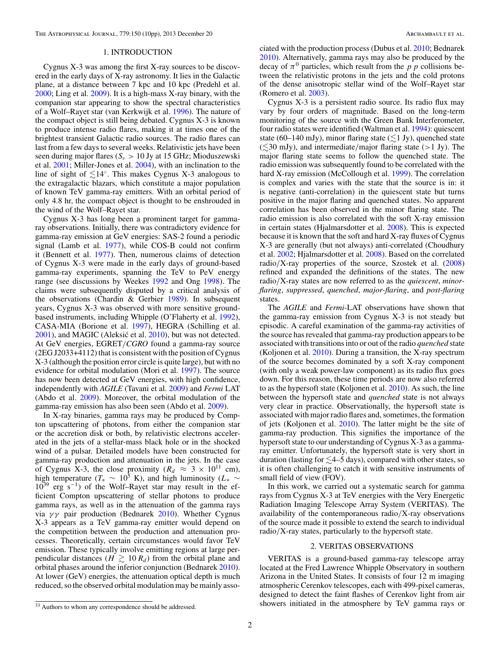## 1. INTRODUCTION

<span id="page-2-0"></span>Cygnus X-3 was among the first X-ray sources to be discovered in the early days of X-ray astronomy. It lies in the Galactic plane, at a distance between 7 kpc and 10 kpc (Predehl et al. [2000;](#page-10-0) Ling et al. [2009\)](#page-10-0). It is a high-mass X-ray binary, with the companion star appearing to show the spectral characteristics of a Wolf–Rayet star (van Kerkwijk et al. [1996\)](#page-10-0). The nature of the compact object is still being debated. Cygnus X-3 is known to produce intense radio flares, making it at times one of the brightest transient Galactic radio sources. The radio flares can last from a few days to several weeks. Relativistic jets have been seen during major flares (*Sν >* 10 Jy at 15 GHz; Mioduszewski et al. [2001;](#page-10-0) Miller-Jones et al. [2004\)](#page-10-0), with an inclination to the line of sight of  $\lesssim$ 14°. This makes Cygnus X-3 analogous to the extragalactic blazars, which constitute a major population of known TeV gamma-ray emitters. With an orbital period of only 4.8 hr, the compact object is thought to be enshrouded in the wind of the Wolf–Rayet star.

Cygnus X-3 has long been a prominent target for gammaray observations. Initially, there was contradictory evidence for gamma-ray emission at GeV energies: SAS-2 found a periodic signal (Lamb et al. [1977\)](#page-10-0), while COS-B could not confirm it (Bennett et al. [1977\)](#page-10-0). Then, numerous claims of detection of Cygnus X-3 were made in the early days of ground-based gamma-ray experiments, spanning the TeV to PeV energy range (see discussions by Weekes [1992](#page-10-0) and Ong [1998\)](#page-10-0). The claims were subsequently disputed by a critical analysis of the observations (Chardin & Gerbier [1989\)](#page-10-0). In subsequent years, Cygnus X-3 was observed with more sensitive groundbased instruments, including Whipple (O'Flaherty et al. [1992\)](#page-10-0), CASA-MIA (Borione et al. [1997\)](#page-10-0), HEGRA (Schilling et al.  $2001$ ), and MAGIC (Aleksić et al.  $2010$ ), but was not detected. At GeV energies, EGRET*/CGRO* found a gamma-ray source (2EG J2033+4112) that is consistent with the position of Cygnus X-3 (although the position error circle is quite large), but with no evidence for orbital modulation (Mori et al. [1997\)](#page-10-0). The source has now been detected at GeV energies, with high confidence, independently with *AGILE* (Tavani et al. [2009\)](#page-10-0) and *Fermi* LAT (Abdo et al. [2009\)](#page-10-0). Moreover, the orbital modulation of the gamma-ray emission has also been seen (Abdo et al. [2009\)](#page-10-0).

In X-ray binaries, gamma rays may be produced by Compton upscattering of photons, from either the companion star or the accretion disk or both, by relativistic electrons accelerated in the jets of a stellar-mass black hole or in the shocked wind of a pulsar. Detailed models have been constructed for gamma-ray production and attenuation in the jets. In the case of Cygnus X-3, the close proximity  $(R_d \approx 3 \times 10^{11} \text{ cm})$ , high temperature ( $T_* \sim 10^5$  K), and high luminosity ( $L_* \sim 10^{30}$  $10^{39}$  erg s<sup>-1</sup>) of the Wolf–Rayet star may result in the efficient Compton upscattering of stellar photons to produce gamma rays, as well as in the attenuation of the gamma rays via *γ γ* pair production (Bednarek [2010\)](#page-10-0). Whether Cygnus X-3 appears as a TeV gamma-ray emitter would depend on the competition between the production and attenuation processes. Theoretically, certain circumstances would favor TeV emission. These typically involve emitting regions at large perpendicular distances ( $H \gtrsim 10 R_d$ ) from the orbital plane and orbital phases around the inferior conjunction (Bednarek [2010\)](#page-10-0). At lower (GeV) energies, the attenuation optical depth is much reduced, so the observed orbital modulation may be mainly associated with the production process (Dubus et al. [2010;](#page-10-0) Bednarek [2010\)](#page-10-0). Alternatively, gamma rays may also be produced by the decay of  $\pi^0$  particles, which result from the *p p* collisions between the relativistic protons in the jets and the cold protons of the dense anisotropic stellar wind of the Wolf–Rayet star (Romero et al. [2003\)](#page-10-0).

Cygnus X-3 is a persistent radio source. Its radio flux may vary by four orders of magnitude. Based on the long-term monitoring of the source with the Green Bank Interferometer, four radio states were identified (Waltman et al. [1994\)](#page-10-0): quiescent state (60–140 mJy), minor flaring state ( $\lesssim$ 1 Jy), quenched state (-30 mJy), and intermediate*/*major flaring state (*>*1 Jy). The major flaring state seems to follow the quenched state. The radio emission was subsequently found to be correlated with the hard X-ray emission (McCollough et al. [1999\)](#page-10-0). The correlation is complex and varies with the state that the source is in: it is negative (anti-correlation) in the quiescent state but turns positive in the major flaring and quenched states. No apparent correlation has been observed in the minor flaring state. The radio emission is also correlated with the soft X-ray emission in certain states (Hjalmarsdotter et al. [2008\)](#page-10-0). This is expected because it is known that the soft and hard X-ray fluxes of Cygnus X-3 are generally (but not always) anti-correlated (Choudhury et al. [2002;](#page-10-0) Hjalmarsdotter et al. [2008\)](#page-10-0). Based on the correlated radio*/*X-ray properties of the source, Szostek et al. [\(2008\)](#page-10-0) refined and expanded the definitions of the states. The new radio*/*X-ray states are now referred to as the *quiescent*, *minorflaring*, *suppressed*, *quenched*, *major-flaring*, and *post-flaring* states.

The *AGILE* and *Fermi*-LAT observations have shown that the gamma-ray emission from Cygnus X-3 is not steady but episodic. A careful examination of the gamma-ray activities of the source has revealed that gamma-ray production appears to be associated with transitions into or out of the radio *quenched* state (Koljonen et al. [2010\)](#page-10-0). During a transition, the X-ray spectrum of the source becomes dominated by a soft X-ray component (with only a weak power-law component) as its radio flux goes down. For this reason, these time periods are now also referred to as the hypersoft state (Koljonen et al. [2010\)](#page-10-0). As such, the line between the hypersoft state and *quenched* state is not always very clear in practice. Observationally, the hypersoft state is associated with major radio flares and, sometimes, the formation of jets (Koljonen et al. [2010\)](#page-10-0). The latter might be the site of gamma-ray production. This signifies the importance of the hypersoft state to our understanding of Cygnus X-3 as a gammaray emitter. Unfortunately, the hypersoft state is very short in duration (lasting for  $\lesssim$ 4–5 days), compared with other states, so it is often challenging to catch it with sensitive instruments of small field of view (FOV).

In this work, we carried out a systematic search for gamma rays from Cygnus X-3 at TeV energies with the Very Energetic Radiation Imaging Telescope Array System (VERITAS). The availability of the contemporaneous radio*/*X-ray observations of the source made it possible to extend the search to individual radio*/*X-ray states, particularly to the hypersoft state.

### 2. VERITAS OBSERVATIONS

VERITAS is a ground-based gamma-ray telescope array located at the Fred Lawrence Whipple Observatory in southern Arizona in the United States. It consists of four 12 m imaging atmospheric Cerenkov telescopes, each with 499-pixel cameras, designed to detect the faint flashes of Cerenkov light from air showers initiated in the atmosphere by TeV gamma rays or

 $\overline{33}$  Authors to whom any correspondence should be addressed.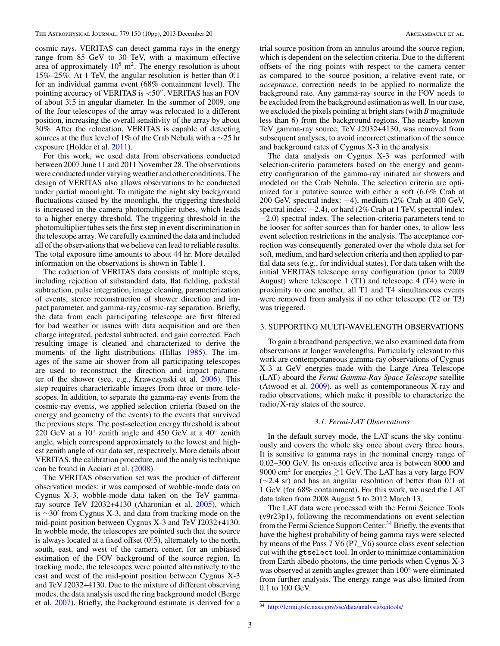cosmic rays. VERITAS can detect gamma rays in the energy range from 85 GeV to 30 TeV, with a maximum effective area of approximately  $10^5$  m<sup>2</sup>. The energy resolution is about 15%–25%. At 1 TeV, the angular resolution is better than 0*.* ◦1 for an individual gamma event (68% containment level). The pointing accuracy of VERITAS is <50". VERITAS has an FOV of about 3°.5 in angular diameter. In the summer of 2009, one of the four telescopes of the array was relocated to a different position, increasing the overall sensitivity of the array by about 30%. After the relocation, VERITAS is capable of detecting sources at the flux level of 1% of the Crab Nebula with a ∼25 hr exposure (Holder et al. [2011\)](#page-10-0).

For this work, we used data from observations conducted between 2007 June 11 and 2011 November 28. The observations were conducted under varying weather and other conditions. The design of VERITAS also allows observations to be conducted under partial moonlight. To mitigate the night sky background fluctuations caused by the moonlight, the triggering threshold is increased in the camera photomultiplier tubes, which leads to a higher energy threshold. The triggering threshold in the photomultiplier tubes sets the first step in event discrimination in the telescope array. We carefully examined the data and included all of the observations that we believe can lead to reliable results. The total exposure time amounts to about 44 hr. More detailed information on the observations is shown in Table [1.](#page-4-0)

The reduction of VERITAS data consists of multiple steps, including rejection of substandard data, flat fielding, pedestal subtraction, pulse integration, image cleaning, parameterization of events, stereo reconstruction of shower direction and impact parameter, and gamma-ray*/*cosmic-ray separation. Briefly, the data from each participating telescope are first filtered for bad weather or issues with data acquisition and are then charge integrated, pedestal subtracted, and gain corrected. Each resulting image is cleaned and characterized to derive the moments of the light distributions (Hillas [1985\)](#page-10-0). The images of the same air shower from all participating telescopes are used to reconstruct the direction and impact parameter of the shower (see, e.g., Krawczynski et al. [2006\)](#page-10-0). This step requires characterizable images from three or more telescopes. In addition, to separate the gamma-ray events from the cosmic-ray events, we applied selection criteria (based on the energy and geometry of the events) to the events that survived the previous steps. The post-selection energy threshold is about 220 GeV at a 10 $\degree$  zenith angle and 450 GeV at a 40 $\degree$  zenith angle, which correspond approximately to the lowest and highest zenith angle of our data set, respectively. More details about VERITAS, the calibration procedure, and the analysis technique can be found in Acciari et al. [\(2008\)](#page-10-0).

The VERITAS observation set was the product of different observation modes: it was composed of wobble-mode data on Cygnus X-3, wobble-mode data taken on the TeV gammaray source TeV J2032+4130 (Aharonian et al. [2005\)](#page-10-0), which is  $\sim$ 30' from Cygnus X-3, and data from tracking mode on the mid-point position between Cygnus X-3 and TeV J2032+4130. In wobble mode, the telescopes are pointed such that the source is always located at a fixed offset (0.5), alternately to the north, south, east, and west of the camera center, for an unbiased estimation of the FOV background of the source region. In tracking mode, the telescopes were pointed alternatively to the east and west of the mid-point position between Cygnus X-3 and TeV J2032+4130. Due to the mixture of different observing modes, the data analysis used the ring background model (Berge et al. [2007\)](#page-10-0). Briefly, the background estimate is derived for a

trial source position from an annulus around the source region, which is dependent on the selection criteria. Due to the different offsets of the ring points with respect to the camera center as compared to the source position, a relative event rate, or *acceptance*, correction needs to be applied to normalize the background rate. Any gamma-ray source in the FOV needs to be excluded from the background estimation as well. In our case, we excluded the pixels pointing at bright stars (with *B* magnitude less than 6) from the background regions. The nearby known TeV gamma-ray source, TeV J2032+4130, was removed from subsequent analyses, to avoid incorrect estimation of the source and background rates of Cygnus X-3 in the analysis.

The data analysis on Cygnus X-3 was performed with selection-criteria parameters based on the energy and geometry configuration of the gamma-ray initiated air showers and modeled on the Crab Nebula. The selection criteria are optimized for a putative source with either a soft (6.6% Crab at 200 GeV, spectral index: −4), medium (2% Crab at 400 GeV, spectral index:  $-2.4$ ), or hard (2% Crab at 1 TeV, spectral index: −2.0) spectral index. The selection-criteria parameters tend to be looser for softer sources than for harder ones, to allow less event selection restrictions in the analysis. The acceptance correction was consequently generated over the whole data set for soft, medium, and hard selection criteria and then applied to partial data sets (e.g., for individual states). For data taken with the initial VERITAS telescope array configuration (prior to 2009 August) where telescope 1 (T1) and telescope 4 (T4) were in proximity to one another, all T1 and T4 simultaneous events were removed from analysis if no other telescope (T2 or T3) was triggered.

## 3. SUPPORTING MULTI-WAVELENGTH OBSERVATIONS

To gain a broadband perspective, we also examined data from observations at longer wavelengths. Particularly relevant to this work are contemporaneous gamma-ray observations of Cygnus X-3 at GeV energies made with the Large Area Telescope (LAT) aboard the *Fermi Gamma-Ray Space Telescope* satellite (Atwood et al. [2009\)](#page-10-0), as well as contemporaneous X-ray and radio observations, which make it possible to characterize the radio*/*X-ray states of the source.

## *3.1. Fermi-LAT Observations*

In the default survey mode, the LAT scans the sky continuously and covers the whole sky once about every three hours. It is sensitive to gamma rays in the nominal energy range of 0.02–300 GeV. Its on-axis effective area is between 8000 and 9000 cm<sup>2</sup> for energies  $\geq 1$  GeV. The LAT has a very large FOV (∼2.4 sr) and has an angular resolution of better than 0<sup>°</sup>. at an at a complete than 0<sup>°</sup>. at a complete than 1<sup>°</sup>. at a complete than 1°. That is a complete than 1°. That is a complete than 1°. That is a complete than 1 1 GeV (for 68% containment). For this work, we used the LAT data taken from 2008 August 5 to 2012 March 13.

The LAT data were processed with the Fermi Science Tools (v9r23p1), following the recommendations on event selection from the Fermi Science Support Center.<sup>34</sup> Briefly, the events that have the highest probability of being gamma rays were selected by means of the Pass 7 V6 (P7\_V6) source class event selection cut with the gtselect tool. In order to minimize contamination from Earth albedo photons, the time periods when Cygnus X-3 was observed at zenith angles greater than 100◦ were eliminated from further analysis. The energy range was also limited from 0.1 to 100 GeV.

<sup>34</sup> <http://fermi.gsfc.nasa.gov/ssc/data/analysis/scitools/>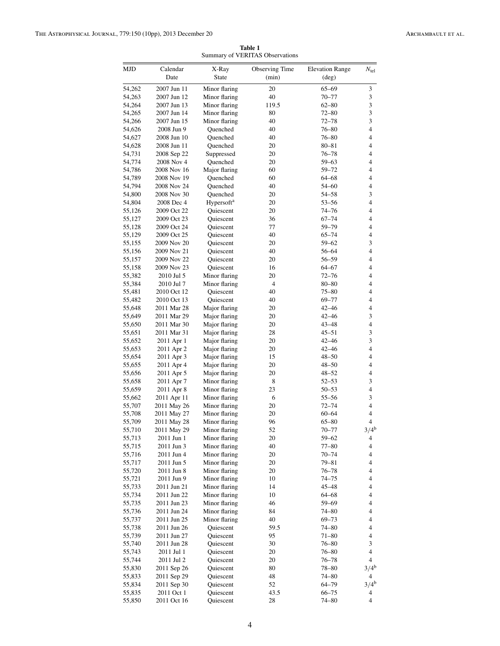<span id="page-4-0"></span>

| MJD    | Calendar    | X-Ray                  | Observing Time  | <b>Elevation Range</b> | $N_{\text{tel}}$            |
|--------|-------------|------------------------|-----------------|------------------------|-----------------------------|
|        | Date        | <b>State</b>           | (min)           | $(\text{deg})$         |                             |
| 54,262 | 2007 Jun 11 | Minor flaring          | 20              | $65 - 69$              | $\mathfrak{Z}$              |
| 54,263 | 2007 Jun 12 | Minor flaring          | 40              | $70 - 77$              | $\ensuremath{\mathfrak{Z}}$ |
|        |             |                        |                 |                        |                             |
| 54,264 | 2007 Jun 13 | Minor flaring          | 119.5           | $62 - 80$              | 3                           |
| 54,265 | 2007 Jun 14 | Minor flaring          | 80              | $72 - 80$              | 3                           |
| 54,266 | 2007 Jun 15 | Minor flaring          | 40<br>$72 - 78$ |                        | $\mathfrak z$               |
| 54,626 | 2008 Jun 9  | Quenched               | 40<br>$76 - 80$ |                        | $\overline{4}$              |
| 54,627 | 2008 Jun 10 | Quenched               | 40<br>$76 - 80$ |                        | 4                           |
| 54,628 | 2008 Jun 11 | Quenched               | 20              | $80 - 81$              | 4                           |
| 54,731 | 2008 Sep 22 | Suppressed             | 20              | $76 - 78$              | $\overline{4}$              |
| 54,774 | 2008 Nov 4  | Quenched               | 20              | $59 - 63$              | 4                           |
| 54,786 | 2008 Nov 16 | Major flaring          | 60              | 59-72                  | 4                           |
| 54,789 | 2008 Nov 19 | Ouenched               | 60              | $64 - 68$              | 4                           |
| 54,794 | 2008 Nov 24 | Quenched               | 40              | $54 - 60$              | 4                           |
| 54,800 | 2008 Nov 30 | Quenched               | 20              | 54-58                  | 3                           |
| 54,804 | 2008 Dec 4  | Hypersoft <sup>a</sup> | 20              | $53 - 56$              | $\overline{4}$              |
| 55,126 | 2009 Oct 22 | Quiescent              | 20              | $74 - 76$              | 4                           |
|        |             |                        |                 |                        |                             |
| 55,127 | 2009 Oct 23 | Quiescent              | 36              | $67 - 74$              | 4                           |
| 55,128 | 2009 Oct 24 | <b>Ouiescent</b>       | 77              | 59-79                  | 4                           |
| 55,129 | 2009 Oct 25 | Quiescent              | 40              | $65 - 74$              | 4                           |
| 55,155 | 2009 Nov 20 | Quiescent              | 20              | $59 - 62$              | 3                           |
| 55,156 | 2009 Nov 21 | Quiescent              | 40              | 56-64                  | $\overline{4}$              |
| 55,157 | 2009 Nov 22 | Quiescent              | 20              | 56-59                  | 4                           |
| 55,158 | 2009 Nov 23 | Quiescent              | 16              | $64 - 67$              | 4                           |
| 55,382 | 2010 Jul 5  | Minor flaring          | 20              | $72 - 76$              | $\overline{4}$              |
| 55,384 | 2010 Jul 7  | Minor flaring          | $\overline{4}$  | $80 - 80$              | 4                           |
| 55,481 | 2010 Oct 12 | Quiescent              | 40              | $75 - 80$              | 4                           |
| 55,482 | 2010 Oct 13 | Quiescent              | 40              | $69 - 77$              | $\overline{4}$              |
| 55,648 | 2011 Mar 28 | Major flaring          | 20              | $42 - 46$              | 4                           |
|        | 2011 Mar 29 | Major flaring          | 20              | 42-46                  | 3                           |
| 55,649 |             |                        |                 |                        |                             |
| 55,650 | 2011 Mar 30 | Major flaring          | 20              | $43 - 48$              | 4                           |
| 55,651 | 2011 Mar 31 | Major flaring          | 28              | $45 - 51$              | 3                           |
| 55,652 | 2011 Apr 1  | Major flaring          | 20              | $42 - 46$              | 3                           |
| 55,653 | 2011 Apr 2  | Major flaring          | 20              | $42 - 46$              | $\overline{4}$              |
| 55,654 | 2011 Apr 3  | Major flaring          | 15              | $48 - 50$              | 4                           |
| 55,655 | 2011 Apr 4  | Major flaring          | 20              | $48 - 50$              | 4                           |
| 55,656 | 2011 Apr 5  | Major flaring          | 20              | $48 - 52$              | 4                           |
| 55,658 | 2011 Apr 7  | Minor flaring          | 8               | $52 - 53$              | 3                           |
| 55,659 | 2011 Apr 8  | Minor flaring          | 23              | $50 - 53$              | 4                           |
| 55,662 | 2011 Apr 11 | Minor flaring          | 6               | 55-56                  | $\mathfrak z$               |
| 55,707 | 2011 May 26 | Minor flaring          | 20              | $72 - 74$              | 4                           |
| 55,708 | 2011 May 27 | Minor flaring          | 20              | $60 - 64$              | 4                           |
| 55,709 | 2011 May 28 | Minor flaring          | 96              | $65 - 80$              | $\overline{4}$              |
| 55,710 | 2011 May 29 | Minor flaring          | 52              | $70 - 77$              | 3/4 <sup>b</sup>            |
|        |             |                        |                 |                        |                             |
| 55,713 | 2011 Jun 1  | Minor flaring          | 20              | $59 - 62$              | 4                           |
| 55,715 | 2011 Jun 3  | Minor flaring          | 40              | $77 - 80$              | 4                           |
| 55,716 | 2011 Jun 4  | Minor flaring          | 20              | $70 - 74$              | 4                           |
| 55,717 | 2011 Jun 5  | Minor flaring          | 20              | 79-81                  | 4                           |
| 55,720 | 2011 Jun 8  | Minor flaring          | 20              | $76 - 78$              | 4                           |
| 55,721 | 2011 Jun 9  | Minor flaring          | 10              | $74 - 75$              | $\overline{\mathbf{4}}$     |
| 55,733 | 2011 Jun 21 | Minor flaring          | 14              | $45 - 48$              | 4                           |
| 55,734 | 2011 Jun 22 | Minor flaring          | 10              | 64–68                  | 4                           |
| 55,735 | 2011 Jun 23 | Minor flaring          | 46              | $59 - 69$              | 4                           |
| 55,736 | 2011 Jun 24 | Minor flaring          | 84              | $74 - 80$              | 4                           |
| 55,737 | 2011 Jun 25 | Minor flaring          | 40              | $69 - 73$              | $\overline{4}$              |
| 55,738 | 2011 Jun 26 | Quiescent              | 59.5            | $74 - 80$              | 4                           |
| 55,739 | 2011 Jun 27 | Quiescent              | 95              | $71 - 80$              | 4                           |
| 55,740 | 2011 Jun 28 | Quiescent              | 30              | $76 - 80$              | $\mathfrak{Z}$              |
|        |             | Quiescent              |                 |                        | $\overline{\mathbf{4}}$     |
| 55,743 | 2011 Jul 1  |                        | 20              | $76 - 80$              |                             |
| 55,744 | 2011 Jul 2  | Quiescent              | 20              | $76 - 78$              | $\overline{4}$              |
| 55,830 | 2011 Sep 26 | Quiescent              | 80              | $78 - 80$              | $3/4^b$                     |
| 55,833 | 2011 Sep 29 | Quiescent              | 48              | $74 - 80$              | $\overline{4}$              |
| 55,834 | 2011 Sep 30 | Quiescent              | 52              | $64 - 79$              | $3/4^{b}$                   |
| 55,835 | 2011 Oct 1  | Quiescent              | 43.5            | $66 - 75$              | 4                           |
| 55,850 | 2011 Oct 16 | Quiescent              | 28              | $74 - 80$              | 4                           |

**Table 1** Summary of VERITAS Observations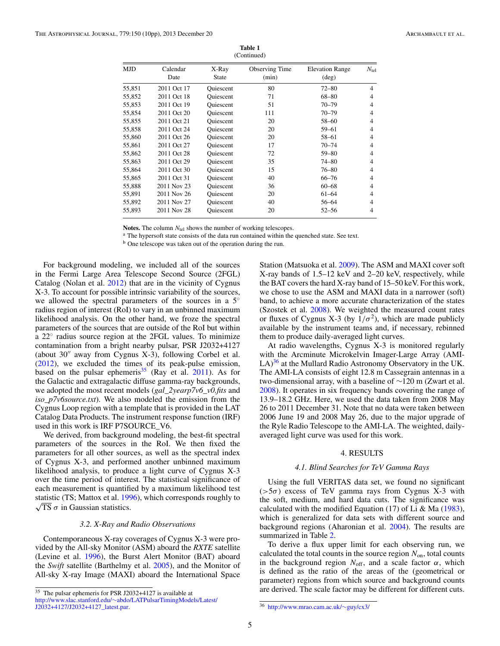<span id="page-5-0"></span>

| Calendar<br>Date | X-Ray<br>State   | Observing Time<br>(min) | <b>Elevation Range</b><br>$(\text{deg})$ | $N_{\rm tel}$ |  |  |  |  |  |  |
|------------------|------------------|-------------------------|------------------------------------------|---------------|--|--|--|--|--|--|
| 2011 Oct 17      | Quiescent        | 80                      | $72 - 80$                                | 4             |  |  |  |  |  |  |
| 2011 Oct 18      | Quiescent        | 71                      | $68 - 80$                                | 4             |  |  |  |  |  |  |
| 2011 Oct 19      | <b>Ouiescent</b> | 51                      | $70 - 79$                                | 4             |  |  |  |  |  |  |
| 2011 Oct 20      | Quiescent        | 111                     | $70 - 79$                                | 4             |  |  |  |  |  |  |
| 2011 Oct 21      | <b>Ouiescent</b> | 20                      | $58 - 60$                                | 4             |  |  |  |  |  |  |
| 2011 Oct 24      | Quiescent        | 20                      | $59 - 61$                                | 4             |  |  |  |  |  |  |
| 2011 Oct 26      | <b>Oujescent</b> | 20                      | $58 - 61$                                | 4             |  |  |  |  |  |  |
| 2011 Oct 27      | <b>Ouiescent</b> | 17                      | $70 - 74$                                | 4             |  |  |  |  |  |  |
| 2011 Oct 28      | <b>Ouiescent</b> | 72                      | $59 - 80$                                | 4             |  |  |  |  |  |  |
| 2011 Oct 29      | Ouiescent        | 35                      | $74 - 80$                                | 4             |  |  |  |  |  |  |
| 2011 Oct 30      | <b>Ouiescent</b> | 15                      | $76 - 80$                                | 4             |  |  |  |  |  |  |
| 2011 Oct 31      | <b>Ouiescent</b> | 40                      | $66 - 76$                                | 4             |  |  |  |  |  |  |
| 2011 Nov 23      | Quiescent        | 36                      | $60 - 68$                                | 4             |  |  |  |  |  |  |
| 2011 Nov 26      | <b>Ouiescent</b> | 20                      | $61 - 64$                                | 4             |  |  |  |  |  |  |
| 2011 Nov 27      | <b>Ouiescent</b> | 40                      | 56-64                                    | 4             |  |  |  |  |  |  |
| 2011 Nov 28      | Ouiescent        | 20                      | $52 - 56$                                | 4             |  |  |  |  |  |  |
|                  |                  |                         | (Continued)                              |               |  |  |  |  |  |  |

**Table 1** (Continued)

**Notes.** The column  $N_{\text{tel}}$  shows the number of working telescopes.  $\frac{a}{n}$  The hypersoft state consists of the data run contained within the quenched state. See text.

<sup>b</sup> One telescope was taken out of the operation during the run.

For background modeling, we included all of the sources in the Fermi Large Area Telescope Second Source (2FGL) Catalog (Nolan et al. [2012\)](#page-10-0) that are in the vicinity of Cygnus X-3. To account for possible intrinsic variability of the sources, we allowed the spectral parameters of the sources in a 5<sup>°</sup> radius region of interest (RoI) to vary in an unbinned maximum likelihood analysis. On the other hand, we froze the spectral parameters of the sources that are outside of the RoI but within a 22◦ radius source region at the 2FGL values. To minimize contamination from a bright nearby pulsar, PSR J2032+4127 (about  $30''$  away from Cygnus X-3), following Corbel et al. [\(2012\)](#page-10-0), we excluded the times of its peak-pulse emission, based on the pulsar ephemeris<sup>35</sup> (Ray et al.  $2011$ ). As for the Galactic and extragalactic diffuse gamma-ray backgrounds, we adopted the most recent models (*gal\_2yearp7v6\_v0.fits* and *iso\_p7v6source.txt*). We also modeled the emission from the Cygnus Loop region with a template that is provided in the LAT Catalog Data Products. The instrument response function (IRF) used in this work is IRF P7SOURCE\_V6.

We derived, from background modeling, the best-fit spectral parameters of the sources in the RoI. We then fixed the parameters for all other sources, as well as the spectral index of Cygnus X-3, and performed another unbinned maximum likelihood analysis, to produce a light curve of Cygnus X-3 over the time period of interest. The statistical significance of each measurement is quantified by a maximum likelihood test statistic (TS; Mattox et al. [1996\)](#page-10-0), which corresponds roughly to √ TS *σ* in Gaussian statistics.

## *3.2. X-Ray and Radio Observations*

Contemporaneous X-ray coverages of Cygnus X-3 were provided by the All-sky Monitor (ASM) aboard the *RXTE* satellite (Levine et al. [1996\)](#page-10-0), the Burst Alert Monitor (BAT) aboard the *Swift* satellite (Barthelmy et al. [2005\)](#page-10-0), and the Monitor of All-sky X-ray Image (MAXI) aboard the International Space Station (Matsuoka et al. [2009\)](#page-10-0). The ASM and MAXI cover soft X-ray bands of 1.5–12 keV and 2–20 keV, respectively, while the BAT covers the hard X-ray band of 15–50 keV. For this work, we chose to use the ASM and MAXI data in a narrower (soft) band, to achieve a more accurate characterization of the states (Szostek et al. [2008\)](#page-10-0). We weighted the measured count rates or fluxes of Cygnus X-3 (by  $1/\sigma^2$ ), which are made publicly available by the instrument teams and, if necessary, rebinned them to produce daily-averaged light curves.

At radio wavelengths, Cygnus X-3 is monitored regularly with the Arcminute Microkelvin Imager-Large Array (AMI- $LA$ <sup>36</sup> at the Mullard Radio Astronomy Observatory in the UK. The AMI-LA consists of eight 12.8 m Cassegrain antennas in a two-dimensional array, with a baseline of ∼120 m (Zwart et al. [2008\)](#page-10-0). It operates in six frequency bands covering the range of 13.9–18.2 GHz. Here, we used the data taken from 2008 May 26 to 2011 December 31. Note that no data were taken between 2006 June 19 and 2008 May 26, due to the major upgrade of the Ryle Radio Telescope to the AMI-LA. The weighted, dailyaveraged light curve was used for this work.

## 4. RESULTS

## *4.1. Blind Searches for TeV Gamma Rays*

Using the full VERITAS data set, we found no significant (*>*5*σ*) excess of TeV gamma rays from Cygnus X-3 with the soft, medium, and hard data cuts. The significance was calculated with the modified Equation (17) of Li & Ma  $(1983)$ , which is generalized for data sets with different source and background regions (Aharonian et al. [2004\)](#page-10-0). The results are summarized in Table [2.](#page-6-0)

To derive a flux upper limit for each observing run, we calculated the total counts in the source region *N*on, total counts in the background region  $N_{\text{off}}$ , and a scale factor  $\alpha$ , which is defined as the ratio of the areas of the (geometrical or parameter) regions from which source and background counts are derived. The scale factor may be different for different cuts.

<sup>35</sup> The pulsar ephemeris for PSR J2032+4127 is available at

http://www.slac.stanford.edu/∼[abdo/LATPulsarTimingModels/Latest/](http://www.slac.stanford.edu/~abdo/LATPulsarTimingModels/Latest/J2032+4127/J2032+4127_latest.par) [J2032+4127/J2032+4127\\_latest.par.](http://www.slac.stanford.edu/~abdo/LATPulsarTimingModels/Latest/J2032+4127/J2032+4127_latest.par)

<sup>36</sup> [http://www.mrao.cam.ac.uk/](http://www.mrao.cam.ac.uk/~guy/cx3/)∼guy/cx3/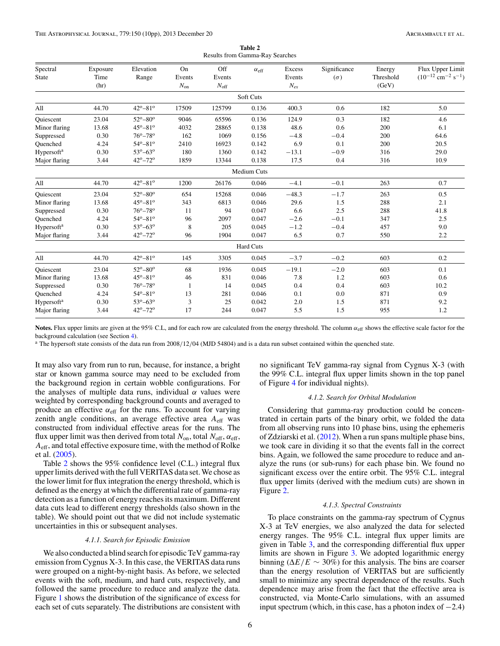<span id="page-6-0"></span>

| Spectral               | Exposure | Elevation                 | On       | Off              | $\alpha_{\text{eff}}$ | Excess   | Significance | Energy    | Flux Upper Limit                               |
|------------------------|----------|---------------------------|----------|------------------|-----------------------|----------|--------------|-----------|------------------------------------------------|
| <b>State</b>           | Time     | Range                     | Events   | Events           |                       | Events   | $(\sigma)$   | Threshold | $(10^{-12}$ cm <sup>-2</sup> s <sup>-1</sup> ) |
|                        | (hr)     |                           | $N_{on}$ | $N_{\text{off}}$ |                       | $N_{ex}$ |              | (GeV)     |                                                |
|                        |          |                           |          |                  | Soft Cuts             |          |              |           |                                                |
| All                    | 44.70    | $42^{\circ} - 81^{\circ}$ | 17509    | 125799           | 0.136                 | 400.3    | 0.6          | 182       | 5.0                                            |
| Quiescent              | 23.04    | $52^{\circ} - 80^{\circ}$ | 9046     | 65596            | 0.136                 | 124.9    | 0.3          | 182       | 4.6                                            |
| Minor flaring          | 13.68    | $45^{\circ} - 81^{\circ}$ | 4032     | 28865            | 0.138                 | 48.6     | 0.6          | 200       | 6.1                                            |
| Suppressed             | 0.30     | $76^{\circ} - 78^{\circ}$ | 162      | 1069             | 0.156                 | $-4.8$   | $-0.4$       | 200       | 64.6                                           |
| Ouenched               | 4.24     | $54^{\circ} - 81^{\circ}$ | 2410     | 16923            | 0.142                 | 6.9      | 0.1          | 200       | 20.5                                           |
| Hypersoft <sup>a</sup> | 0.30     | $53^{\circ} - 63^{\circ}$ | 180      | 1360             | 0.142                 | $-13.1$  | $-0.9$       | 316       | 29.0                                           |
| Major flaring          | 3.44     | $42^{\circ} - 72^{\circ}$ | 1859     | 13344            | 0.138                 | 17.5     | 0.4          | 316       | 10.9                                           |
|                        |          |                           |          |                  | <b>Medium Cuts</b>    |          |              |           |                                                |
| All                    | 44.70    | $42^{\circ} - 81^{\circ}$ | 1200     | 26176            | 0.046                 | $-4.1$   | $-0.1$       | 263       | 0.7                                            |
| Quiescent              | 23.04    | $52^{\circ} - 80^{\circ}$ | 654      | 15268            | 0.046                 | $-48.3$  | $-1.7$       | 263       | 0.5                                            |
| Minor flaring          | 13.68    | $45^{\circ} - 81^{\circ}$ | 343      | 6813             | 0.046                 | 29.6     | 1.5          | 288       | 2.1                                            |
| Suppressed             | 0.30     | $76^{\circ} - 78^{\circ}$ | 11       | 94               | 0.047                 | 6.6      | 2.5          | 288       | 41.8                                           |
| Ouenched               | 4.24     | $54^{\circ}-81^{\circ}$   | 96       | 2097             | 0.047                 | $-2.6$   | $-0.1$       | 347       | 2.5                                            |
| Hypersoft <sup>a</sup> | 0.30     | $53^o - 63^o$             | 8        | 205              | 0.045                 | $-1.2$   | $-0.4$       | 457       | 9.0                                            |
| Major flaring          | 3.44     | $42^{\circ} - 72^{\circ}$ | 96       | 1904             | 0.047                 | 6.5      | 0.7          | 550       | 2.2                                            |
|                        |          |                           |          |                  | <b>Hard Cuts</b>      |          |              |           |                                                |
| All                    | 44.70    | $42^{\circ} - 81^{\circ}$ | 145      | 3305             | 0.045                 | $-3.7$   | $-0.2$       | 603       | 0.2                                            |
| <b>Ouiescent</b>       | 23.04    | $52^{\circ} - 80^{\circ}$ | 68       | 1936             | 0.045                 | $-19.1$  | $-2.0$       | 603       | 0.1                                            |
| Minor flaring          | 13.68    | $45^{\circ} - 81^{\circ}$ | 46       | 831              | 0.046                 | 7.8      | 1.2          | 603       | 0.6                                            |
| Suppressed             | 0.30     | $76^{\circ} - 78^{\circ}$ |          | 14               | 0.045                 | 0.4      | 0.4          | 603       | 10.2                                           |
| Quenched               | 4.24     | $54^{\circ} - 81^{\circ}$ | 13       | 281              | 0.046                 | 0.1      | 0.0          | 871       | 0.9                                            |
| Hypersoft <sup>a</sup> | 0.30     | $53^{\circ} - 63^{\circ}$ | 3        | 25               | 0.042                 | 2.0      | 1.5          | 871       | 9.2                                            |
| Major flaring          | 3.44     | $42^{\circ} - 72^{\circ}$ | 17       | 244              | 0.047                 | 5.5      | 1.5          | 955       | 1.2                                            |

**Table 2** Results from Gamma-Ray Searches

Notes. Flux upper limits are given at the 95% C.L, and for each row are calculated from the energy threshold. The column  $\alpha_{eff}$  shows the effective scale factor for the background calculation (see Section [4\)](#page-5-0).

<sup>a</sup> The hypersoft state consists of the data run from 2008*/*12*/*04 (MJD 54804) and is a data run subset contained within the quenched state.

It may also vary from run to run, because, for instance, a bright star or known gamma source may need to be excluded from the background region in certain wobble configurations. For the analyses of multiple data runs, individual *α* values were weighted by corresponding background counts and averaged to produce an effective  $\alpha_{\text{eff}}$  for the runs. To account for varying zenith angle conditions, an average effective area *A*eff was constructed from individual effective areas for the runs. The flux upper limit was then derived from total  $N_{on}$ , total  $N_{off}$ ,  $\alpha_{eff}$ , *A*eff, and total effective exposure time, with the method of Rolke et al. [\(2005\)](#page-10-0).

Table 2 shows the 95% confidence level (C.L.) integral flux upper limits derived with the full VERITAS data set. We chose as the lower limit for flux integration the energy threshold, which is defined as the energy at which the differential rate of gamma-ray detection as a function of energy reaches its maximum. Different data cuts lead to different energy thresholds (also shown in the table). We should point out that we did not include systematic uncertainties in this or subsequent analyses.

#### *4.1.1. Search for Episodic Emission*

We also conducted a blind search for episodic TeV gamma-ray emission from Cygnus X-3. In this case, the VERITAS data runs were grouped on a night-by-night basis. As before, we selected events with the soft, medium, and hard cuts, respectively, and followed the same procedure to reduce and analyze the data. Figure [1](#page-7-0) shows the distribution of the significance of excess for each set of cuts separately. The distributions are consistent with

no significant TeV gamma-ray signal from Cygnus X-3 (with the 99% C.L. integral flux upper limits shown in the top panel of Figure [4](#page-9-0) for individual nights).

#### *4.1.2. Search for Orbital Modulation*

Considering that gamma-ray production could be concentrated in certain parts of the binary orbit, we folded the data from all observing runs into 10 phase bins, using the ephemeris of Zdziarski et al. [\(2012\)](#page-10-0). When a run spans multiple phase bins, we took care in dividing it so that the events fall in the correct bins. Again, we followed the same procedure to reduce and analyze the runs (or sub-runs) for each phase bin. We found no significant excess over the entire orbit. The 95% C.L. integral flux upper limits (derived with the medium cuts) are shown in Figure [2.](#page-7-0)

#### *4.1.3. Spectral Constraints*

To place constraints on the gamma-ray spectrum of Cygnus X-3 at TeV energies, we also analyzed the data for selected energy ranges. The 95% C.L. integral flux upper limits are given in Table [3,](#page-7-0) and the corresponding differential flux upper limits are shown in Figure [3.](#page-8-0) We adopted logarithmic energy binning ( $\Delta E/E \sim 30\%$ ) for this analysis. The bins are coarser than the energy resolution of VERITAS but are sufficiently small to minimize any spectral dependence of the results. Such dependence may arise from the fact that the effective area is constructed, via Monte-Carlo simulations, with an assumed input spectrum (which, in this case, has a photon index of  $-2.4$ )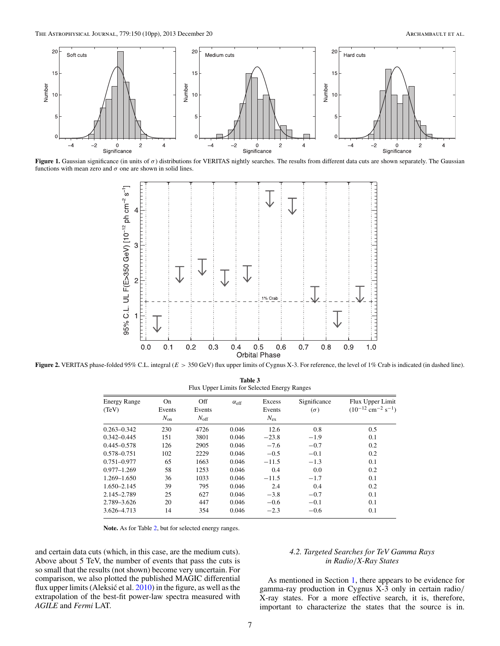<span id="page-7-0"></span>

**Figure 1.** Gaussian significance (in units of *σ*) distributions for VERITAS nightly searches. The results from different data cuts are shown separately. The Gaussian functions with mean zero and  $\sigma$  one are shown in solid lines.



**Figure 2.** VERITAS phase-folded 95% C.L. integral (*E >* 350 GeV) flux upper limits of Cygnus X-3. For reference, the level of 1% Crab is indicated (in dashed line). **Table 3**

| <b>Energy Range</b><br>(TeV) | On<br>Events | Off<br>Events | $\alpha_{\text{eff}}$ | Excess<br>Events | Significance<br>$(\sigma)$ | Flux Upper Limit<br>$(10^{-12}$ cm <sup>-2</sup> s <sup>-1</sup> ) |
|------------------------------|--------------|---------------|-----------------------|------------------|----------------------------|--------------------------------------------------------------------|
|                              | $N_{on}$     | $N_{\rm off}$ |                       | $N_{\rm ex}$     |                            |                                                                    |
| $0.263 - 0.342$              | 230          | 4726          | 0.046                 | 12.6             | 0.8                        | 0.5                                                                |
| $0.342 - 0.445$              | 151          | 3801          | 0.046                 | $-23.8$          | $-1.9$                     | 0.1                                                                |
| $0.445 - 0.578$              | 126          | 2905          | 0.046                 | $-7.6$           | $-0.7$                     | 0.2                                                                |
| 0.578-0.751                  | 102          | 2229          | 0.046                 | $-0.5$           | $-0.1$                     | 0.2                                                                |
| $0.751 - 0.977$              | 65           | 1663          | 0.046                 | $-11.5$          | $-1.3$                     | 0.1                                                                |
| $0.977 - 1.269$              | 58           | 1253          | 0.046                 | 0.4              | 0.0                        | 0.2                                                                |
| $1.269 - 1.650$              | 36           | 1033          | 0.046                 | $-11.5$          | $-1.7$                     | 0.1                                                                |
| $1.650 - 2.145$              | 39           | 795           | 0.046                 | 2.4              | 0.4                        | 0.2                                                                |
| 2.145-2.789                  | 25           | 627           | 0.046                 | $-3.8$           | $-0.7$                     | 0.1                                                                |
| 2.789-3.626                  | 20           | 447           | 0.046                 | $-0.6$           | $-0.1$                     | 0.1                                                                |
| 3.626-4.713                  | 14           | 354           | 0.046                 | $-2.3$           | $-0.6$                     | 0.1                                                                |

**Note.** As for Table [2,](#page-6-0) but for selected energy ranges.

and certain data cuts (which, in this case, are the medium cuts). Above about 5 TeV, the number of events that pass the cuts is so small that the results (not shown) become very uncertain. For comparison, we also plotted the published MAGIC differential flux upper limits (Aleksić et al.  $2010$ ) in the figure, as well as the extrapolation of the best-fit power-law spectra measured with *AGILE* and *Fermi* LAT.

## *4.2. Targeted Searches for TeV Gamma Rays in Radio/X-Ray States*

As mentioned in Section [1,](#page-2-0) there appears to be evidence for gamma-ray production in Cygnus X-3 only in certain radio*/* X-ray states. For a more effective search, it is, therefore, important to characterize the states that the source is in.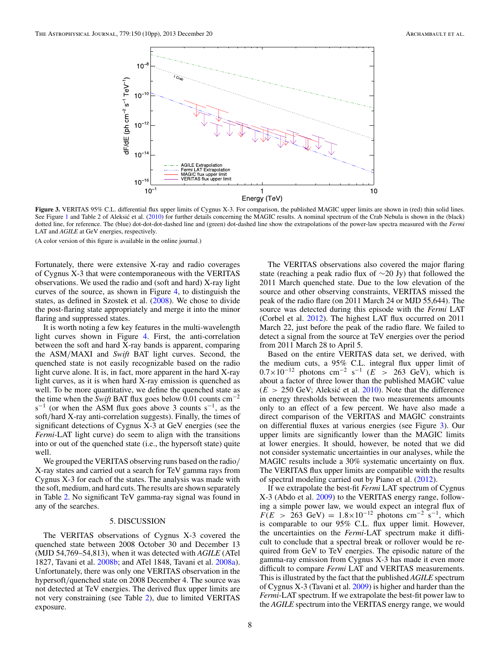<span id="page-8-0"></span>

Figure 3. VERITAS 95% C.L. differential flux upper limits of Cygnus X-3. For comparison, the published MAGIC upper limits are shown in (red) thin solid lines. See Figure [1](#page-7-0) and Table 2 of Aleksic et al. ([2010\)](#page-10-0) for further details concerning the MAGIC results. A nominal spectrum of the Crab Nebula is shown in the (black) dotted line, for reference. The (blue) dot-dot-dot-dashed line and (green) dot-dashed line show the extrapolations of the power-law spectra measured with the *Fermi* LAT and *AGILE* at GeV energies, respectively.

(A color version of this figure is available in the online journal.)

Fortunately, there were extensive X-ray and radio coverages of Cygnus X-3 that were contemporaneous with the VERITAS observations. We used the radio and (soft and hard) X-ray light curves of the source, as shown in Figure [4,](#page-9-0) to distinguish the states, as defined in Szostek et al. [\(2008\)](#page-10-0). We chose to divide the post-flaring state appropriately and merge it into the minor flaring and suppressed states.

It is worth noting a few key features in the multi-wavelength light curves shown in Figure [4.](#page-9-0) First, the anti-correlation between the soft and hard X-ray bands is apparent, comparing the ASM*/*MAXI and *Swift* BAT light curves. Second, the quenched state is not easily recognizable based on the radio light curve alone. It is, in fact, more apparent in the hard X-ray light curves, as it is when hard X-ray emission is quenched as well. To be more quantitative, we define the quenched state as the time when the *Swift* BAT flux goes below 0.01 counts cm−<sup>2</sup>  $s^{-1}$  (or when the ASM flux goes above 3 counts  $s^{-1}$ , as the soft*/*hard X-ray anti-correlation suggests). Finally, the times of significant detections of Cygnus X-3 at GeV energies (see the *Fermi*-LAT light curve) do seem to align with the transitions into or out of the quenched state (i.e., the hypersoft state) quite well.

We grouped the VERITAS observing runs based on the radio*/* X-ray states and carried out a search for TeV gamma rays from Cygnus X-3 for each of the states. The analysis was made with the soft, medium, and hard cuts. The results are shown separately in Table [2.](#page-6-0) No significant TeV gamma-ray signal was found in any of the searches.

## 5. DISCUSSION

The VERITAS observations of Cygnus X-3 covered the quenched state between 2008 October 30 and December 13 (MJD 54,769–54,813), when it was detected with *AGILE* (ATel 1827, Tavani et al. [2008b;](#page-10-0) and ATel 1848, Tavani et al. [2008a\)](#page-10-0). Unfortunately, there was only one VERITAS observation in the hypersoft*/*quenched state on 2008 December 4. The source was not detected at TeV energies. The derived flux upper limits are not very constraining (see Table [2\)](#page-6-0), due to limited VERITAS exposure.

The VERITAS observations also covered the major flaring state (reaching a peak radio flux of ∼20 Jy) that followed the 2011 March quenched state. Due to the low elevation of the source and other observing constraints, VERITAS missed the peak of the radio flare (on 2011 March 24 or MJD 55,644). The source was detected during this episode with the *Fermi* LAT (Corbel et al. [2012\)](#page-10-0). The highest LAT flux occurred on 2011 March 22, just before the peak of the radio flare. We failed to detect a signal from the source at TeV energies over the period from 2011 March 28 to April 5.

Based on the entire VERITAS data set, we derived, with the medium cuts, a 95% C.L. integral flux upper limit of  $0.7 \times 10^{-12}$  photons cm<sup>-2</sup> s<sup>-1</sup> (*E* > 263 GeV), which is about a factor of three lower than the published MAGIC value  $(E > 250 \text{ GeV})$ ; Aleksić et al.  $2010$ ). Note that the difference in energy thresholds between the two measurements amounts only to an effect of a few percent. We have also made a direct comparison of the VERITAS and MAGIC constraints on differential fluxes at various energies (see Figure 3). Our upper limits are significantly lower than the MAGIC limits at lower energies. It should, however, be noted that we did not consider systematic uncertainties in our analyses, while the MAGIC results include a 30% systematic uncertainty on flux. The VERITAS flux upper limits are compatible with the results of spectral modeling carried out by Piano et al. [\(2012\)](#page-10-0).

If we extrapolate the best-fit *Fermi* LAT spectrum of Cygnus X-3 (Abdo et al. [2009\)](#page-10-0) to the VERITAS energy range, following a simple power law, we would expect an integral flux of  $F(E > 263 \text{ GeV}) = 1.8 \times 10^{-12} \text{ photons cm}^{-2} \text{ s}^{-1}$ , which is comparable to our 95% C.L. flux upper limit. However, the uncertainties on the *Fermi*-LAT spectrum make it difficult to conclude that a spectral break or rollover would be required from GeV to TeV energies. The episodic nature of the gamma-ray emission from Cygnus X-3 has made it even more difficult to compare *Fermi* LAT and VERITAS measurements. This is illustrated by the fact that the published *AGILE* spectrum of Cygnus X-3 (Tavani et al. [2009\)](#page-10-0) is higher and harder than the *Fermi*-LAT spectrum. If we extrapolate the best-fit power law to the *AGILE* spectrum into the VERITAS energy range, we would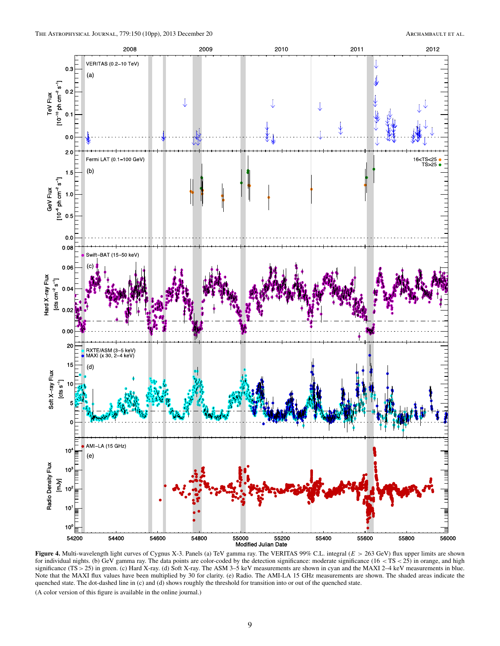<span id="page-9-0"></span>

**Figure 4.** Multi-wavelength light curves of Cygnus X-3. Panels (a) TeV gamma ray. The VERITAS 99% C.L. integral (*E >* 263 GeV) flux upper limits are shown for individual nights. (b) GeV gamma ray. The data points are color-coded by the detection significance: moderate significance (16 *<* TS *<* 25) in orange, and high significance (TS*>*25) in green. (c) Hard X-ray. (d) Soft X-ray. The ASM 3–5 keV measurements are shown in cyan and the MAXI 2–4 keV measurements in blue. Note that the MAXI flux values have been multiplied by 30 for clarity. (e) Radio. The AMI-LA 15 GHz measurements are shown. The shaded areas indicate the quenched state. The dot-dashed line in (c) and (d) shows roughly the threshold for transition into or out of the quenched state.

(A color version of this figure is available in the online journal.)